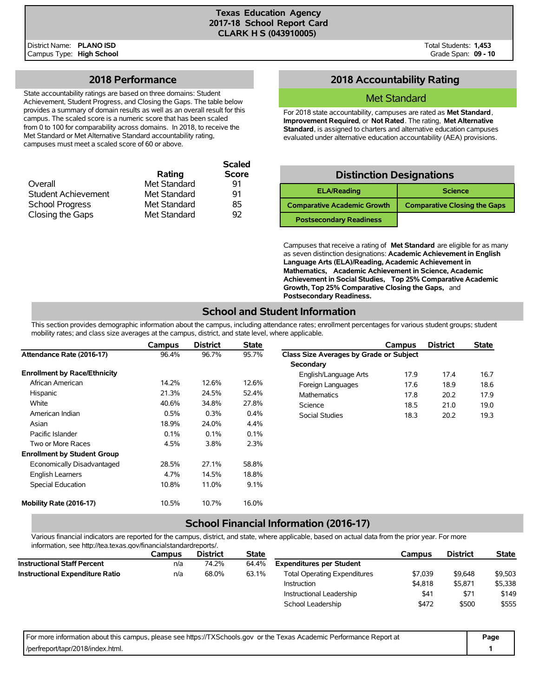## **2018 Performance**

State accountability ratings are based on three domains: Student Achievement, Student Progress, and Closing the Gaps. The table below provides a summary of domain results as well as an overall result for this campus. The scaled score is a numeric score that has been scaled from 0 to 100 for comparability across domains. In 2018, to receive the Met Standard or Met Alternative Standard accountability rating, campuses must meet a scaled score of 60 or above.

|                            |              | <b>Scaled</b> |
|----------------------------|--------------|---------------|
|                            | Rating       | <b>Score</b>  |
| Overall                    | Met Standard | 91            |
| <b>Student Achievement</b> | Met Standard | 91            |
| <b>School Progress</b>     | Met Standard | 85            |
| Closing the Gaps           | Met Standard | 92            |

# **2018 Accountability Rating**

## Met Standard

For 2018 state accountability, campuses are rated as **Met Standard**, **Improvement Required**, or **Not Rated**. The rating, **Met Alternative Standard**, is assigned to charters and alternative education campuses evaluated under alternative education accountability (AEA) provisions.

| <b>Distinction Designations</b>    |                                     |  |  |  |  |  |  |  |
|------------------------------------|-------------------------------------|--|--|--|--|--|--|--|
| <b>ELA/Reading</b>                 | <b>Science</b>                      |  |  |  |  |  |  |  |
| <b>Comparative Academic Growth</b> | <b>Comparative Closing the Gaps</b> |  |  |  |  |  |  |  |
| <b>Postsecondary Readiness</b>     |                                     |  |  |  |  |  |  |  |

Campuses that receive a rating of **Met Standard** are eligible for as many as seven distinction designations: **Academic Achievement in English Language Arts (ELA)/Reading, Academic Achievement in Mathematics, Academic Achievement in Science, Academic Achievement in Social Studies, Top 25% Comparative Academic Growth, Top 25% Comparative Closing the Gaps,** and **Postsecondary Readiness.**

# **School and Student Information**

This section provides demographic information about the campus, including attendance rates; enrollment percentages for various student groups; student mobility rates; and class size averages at the campus, district, and state level, where applicable.

|                                     | Campus | <b>District</b> | <b>State</b> |                                         | Campus | <b>District</b> | <b>State</b> |
|-------------------------------------|--------|-----------------|--------------|-----------------------------------------|--------|-----------------|--------------|
| Attendance Rate (2016-17)           | 96.4%  | 96.7%           | 95.7%        | Class Size Averages by Grade or Subject |        |                 |              |
|                                     |        |                 |              | Secondary                               |        |                 |              |
| <b>Enrollment by Race/Ethnicity</b> |        |                 |              | English/Language Arts                   | 17.9   | 17.4            | 16.7         |
| African American                    | 14.2%  | 12.6%           | 12.6%        | Foreign Languages                       | 17.6   | 18.9            | 18.6         |
| Hispanic                            | 21.3%  | 24.5%           | 52.4%        | Mathematics                             | 17.8   | 20.2            | 17.9         |
| White                               | 40.6%  | 34.8%           | 27.8%        | Science                                 | 18.5   | 21.0            | 19.0         |
| American Indian                     | 0.5%   | 0.3%            | $0.4\%$      | Social Studies                          | 18.3   | 20.2            | 19.3         |
| Asian                               | 18.9%  | 24.0%           | 4.4%         |                                         |        |                 |              |
| Pacific Islander                    | 0.1%   | 0.1%            | 0.1%         |                                         |        |                 |              |
| Two or More Races                   | 4.5%   | 3.8%            | 2.3%         |                                         |        |                 |              |
| <b>Enrollment by Student Group</b>  |        |                 |              |                                         |        |                 |              |
| Economically Disadvantaged          | 28.5%  | 27.1%           | 58.8%        |                                         |        |                 |              |
| <b>English Learners</b>             | 4.7%   | 14.5%           | 18.8%        |                                         |        |                 |              |
| Special Education                   | 10.8%  | 11.0%           | 9.1%         |                                         |        |                 |              |
| Mobility Rate (2016-17)             | 10.5%  | 10.7%           | 16.0%        |                                         |        |                 |              |

## **School Financial Information (2016-17)**

Various financial indicators are reported for the campus, district, and state, where applicable, based on actual data from the prior year. For more information, see http://tea.texas.gov/financialstandardreports/.

|                                        | Campus | <b>District</b> | <b>State</b> |                                     | Campus  | <b>District</b> | <b>State</b> |
|----------------------------------------|--------|-----------------|--------------|-------------------------------------|---------|-----------------|--------------|
| <b>Instructional Staff Percent</b>     | n/a    | 74.2%           | 64.4%        | <b>Expenditures per Student</b>     |         |                 |              |
| <b>Instructional Expenditure Ratio</b> | n/a    | 68.0%           | 63.1%        | <b>Total Operating Expenditures</b> | \$7,039 | \$9,648         | \$9,503      |
|                                        |        |                 |              | Instruction                         | \$4,818 | \$5,871         | \$5,338      |
|                                        |        |                 |              | Instructional Leadership            | \$41    | \$71            | \$149        |
|                                        |        |                 |              | School Leadership                   | \$472   | \$500           | \$555        |

| For more information about this campus, please see https://TXSchools.gov or the Texas Academic Performance Report at | Page |
|----------------------------------------------------------------------------------------------------------------------|------|
| /perfreport/tapr/2018/index.html.                                                                                    |      |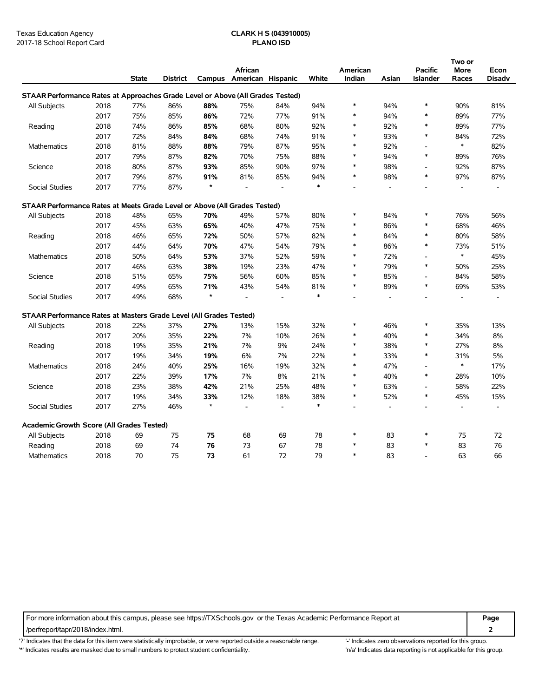|                                                                                |      |              |                 |         |                   |                |        |          |       |                          | Two or                   |               |
|--------------------------------------------------------------------------------|------|--------------|-----------------|---------|-------------------|----------------|--------|----------|-------|--------------------------|--------------------------|---------------|
|                                                                                |      |              |                 |         | African           |                |        | American |       | <b>Pacific</b>           | More                     | Econ          |
|                                                                                |      | <b>State</b> | <b>District</b> | Campus  | American Hispanic |                | White  | Indian   | Asian | Islander                 | Races                    | <b>Disadv</b> |
| STAAR Performance Rates at Approaches Grade Level or Above (All Grades Tested) |      |              |                 |         |                   |                |        |          |       |                          |                          |               |
| All Subjects                                                                   | 2018 | 77%          | 86%             | 88%     | 75%               | 84%            | 94%    | $\ast$   | 94%   | $\ast$                   | 90%                      | 81%           |
|                                                                                | 2017 | 75%          | 85%             | 86%     | 72%               | 77%            | 91%    | $\ast$   | 94%   | $\ast$                   | 89%                      | 77%           |
| Reading                                                                        | 2018 | 74%          | 86%             | 85%     | 68%               | 80%            | 92%    | *        | 92%   | $\ast$                   | 89%                      | 77%           |
|                                                                                | 2017 | 72%          | 84%             | 84%     | 68%               | 74%            | 91%    | $\ast$   | 93%   | $\ast$                   | 84%                      | 72%           |
| <b>Mathematics</b>                                                             | 2018 | 81%          | 88%             | 88%     | 79%               | 87%            | 95%    | ∗        | 92%   | L,                       | $\ast$                   | 82%           |
|                                                                                | 2017 | 79%          | 87%             | 82%     | 70%               | 75%            | 88%    | $\ast$   | 94%   | $\ast$                   | 89%                      | 76%           |
| Science                                                                        | 2018 | 80%          | 87%             | 93%     | 85%               | 90%            | 97%    | $\ast$   | 98%   | L,                       | 92%                      | 87%           |
|                                                                                | 2017 | 79%          | 87%             | 91%     | 81%               | 85%            | 94%    | $\ast$   | 98%   | $\ast$                   | 97%                      | 87%           |
| <b>Social Studies</b>                                                          | 2017 | 77%          | 87%             | $\star$ | $\overline{a}$    |                | $\ast$ |          |       | $\overline{a}$           |                          |               |
| STAAR Performance Rates at Meets Grade Level or Above (All Grades Tested)      |      |              |                 |         |                   |                |        |          |       |                          |                          |               |
| All Subjects                                                                   | 2018 | 48%          | 65%             | 70%     | 49%               | 57%            | 80%    | $\ast$   | 84%   | $\ast$                   | 76%                      | 56%           |
|                                                                                | 2017 | 45%          | 63%             | 65%     | 40%               | 47%            | 75%    | ∗        | 86%   | $\ast$                   | 68%                      | 46%           |
| Reading                                                                        | 2018 | 46%          | 65%             | 72%     | 50%               | 57%            | 82%    | *        | 84%   | $\ast$                   | 80%                      | 58%           |
|                                                                                | 2017 | 44%          | 64%             | 70%     | 47%               | 54%            | 79%    | $\ast$   | 86%   | $\ast$                   | 73%                      | 51%           |
| <b>Mathematics</b>                                                             | 2018 | 50%          | 64%             | 53%     | 37%               | 52%            | 59%    | $\ast$   | 72%   | $\overline{a}$           | $\ast$                   | 45%           |
|                                                                                | 2017 | 46%          | 63%             | 38%     | 19%               | 23%            | 47%    | $\ast$   | 79%   | $\ast$                   | 50%                      | 25%           |
| Science                                                                        | 2018 | 51%          | 65%             | 75%     | 56%               | 60%            | 85%    | *        | 85%   | $\overline{a}$           | 84%                      | 58%           |
|                                                                                | 2017 | 49%          | 65%             | 71%     | 43%               | 54%            | 81%    | $\ast$   | 89%   | $\ast$                   | 69%                      | 53%           |
| Social Studies                                                                 | 2017 | 49%          | 68%             | $\star$ |                   |                | $\ast$ |          |       |                          |                          |               |
| STAAR Performance Rates at Masters Grade Level (All Grades Tested)             |      |              |                 |         |                   |                |        |          |       |                          |                          |               |
| All Subjects                                                                   | 2018 | 22%          | 37%             | 27%     | 13%               | 15%            | 32%    | $\ast$   | 46%   | $\ast$                   | 35%                      | 13%           |
|                                                                                | 2017 | 20%          | 35%             | 22%     | 7%                | 10%            | 26%    | ∗        | 40%   | $\ast$                   | 34%                      | 8%            |
| Reading                                                                        | 2018 | 19%          | 35%             | 21%     | 7%                | 9%             | 24%    | *        | 38%   | $\ast$                   | 27%                      | 8%            |
|                                                                                | 2017 | 19%          | 34%             | 19%     | 6%                | 7%             | 22%    | *        | 33%   | $\ast$                   | 31%                      | 5%            |
| <b>Mathematics</b>                                                             | 2018 | 24%          | 40%             | 25%     | 16%               | 19%            | 32%    | $\ast$   | 47%   | $\overline{a}$           | $\ast$                   | 17%           |
|                                                                                | 2017 | 22%          | 39%             | 17%     | 7%                | 8%             | 21%    | ∗        | 40%   | $\ast$                   | 28%                      | 10%           |
| Science                                                                        | 2018 | 23%          | 38%             | 42%     | 21%               | 25%            | 48%    | $\ast$   | 63%   | L,                       | 58%                      | 22%           |
|                                                                                | 2017 | 19%          | 34%             | 33%     | 12%               | 18%            | 38%    | $\ast$   | 52%   | $\ast$                   | 45%                      | 15%           |
| Social Studies                                                                 | 2017 | 27%          | 46%             | $\star$ | $\overline{a}$    | $\overline{a}$ | $\ast$ |          |       |                          | $\overline{\phantom{a}}$ |               |
| Academic Growth Score (All Grades Tested)                                      |      |              |                 |         |                   |                |        |          |       |                          |                          |               |
| All Subjects                                                                   | 2018 | 69           | 75              | 75      | 68                | 69             | 78     | $\ast$   | 83    | $\ast$                   | 75                       | 72            |
| Reading                                                                        | 2018 | 69           | 74              | 76      | 73                | 67             | 78     | ∗        | 83    | $\ast$                   | 83                       | 76            |
| <b>Mathematics</b>                                                             | 2018 | 70           | 75              | 73      | 61                | 72             | 79     | *        | 83    | $\overline{\phantom{a}}$ | 63                       | 66            |

For more information about this campus, please see https://TXSchools.gov or the Texas Academic Performance Report at **Page**

/perfreport/tapr/2018/index.html. **2**

'?' Indicates that the data for this item were statistically improbable, or were reported outside a reasonable range. '' Indicates zero observations reported for this group. '\*' Indicates results are masked due to small numbers to protect student confidentiality. Moreover, the this invall numbers to protect student confidentiality.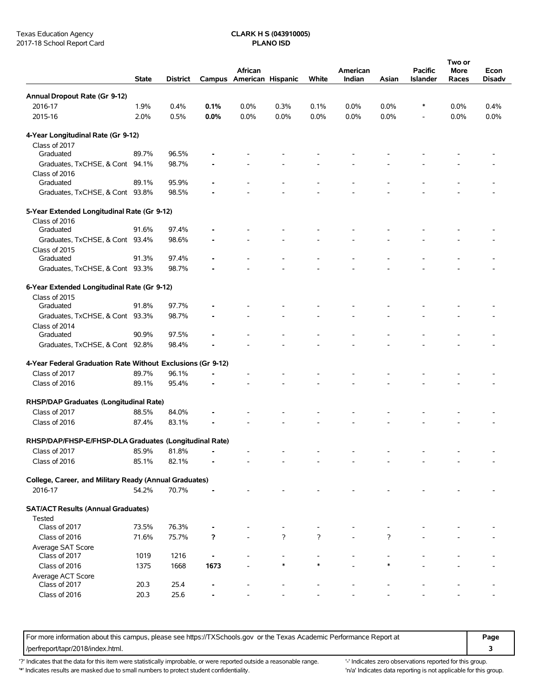|                                                             | <b>State</b> | <b>District</b> |            | African<br>Campus American Hispanic |                | White          | American<br>Indian | Asian  | Pacific<br>Islander | Two or<br><b>More</b><br>Races | Econ<br><b>Disadv</b> |
|-------------------------------------------------------------|--------------|-----------------|------------|-------------------------------------|----------------|----------------|--------------------|--------|---------------------|--------------------------------|-----------------------|
| Annual Dropout Rate (Gr 9-12)                               |              |                 |            |                                     |                |                |                    |        |                     |                                |                       |
| 2016-17                                                     | 1.9%         | 0.4%            | 0.1%       | 0.0%                                | 0.3%           | 0.1%           | 0.0%               | 0.0%   | $\ast$              | 0.0%                           | 0.4%                  |
| 2015-16                                                     | 2.0%         | 0.5%            | $0.0\%$    | 0.0%                                | 0.0%           | 0.0%           | 0.0%               | 0.0%   |                     | 0.0%                           | 0.0%                  |
| 4-Year Longitudinal Rate (Gr 9-12)                          |              |                 |            |                                     |                |                |                    |        |                     |                                |                       |
| Class of 2017                                               |              |                 |            |                                     |                |                |                    |        |                     |                                |                       |
| Graduated                                                   | 89.7%        | 96.5%           |            |                                     |                |                |                    |        |                     |                                |                       |
| Graduates, TxCHSE, & Cont 94.1%                             |              | 98.7%           |            |                                     |                |                |                    |        |                     |                                |                       |
| Class of 2016                                               |              |                 |            |                                     |                |                |                    |        |                     |                                |                       |
| Graduated                                                   | 89.1%        | 95.9%           |            |                                     |                |                |                    |        |                     |                                |                       |
| Graduates, TxCHSE, & Cont 93.8%                             |              | 98.5%           |            |                                     |                |                |                    |        |                     |                                |                       |
| 5-Year Extended Longitudinal Rate (Gr 9-12)                 |              |                 |            |                                     |                |                |                    |        |                     |                                |                       |
| Class of 2016                                               |              |                 |            |                                     |                |                |                    |        |                     |                                |                       |
| Graduated                                                   | 91.6%        | 97.4%           |            |                                     |                |                |                    |        |                     |                                |                       |
| Graduates, TxCHSE, & Cont 93.4%                             |              | 98.6%           |            |                                     |                |                |                    |        |                     |                                |                       |
| Class of 2015                                               |              |                 |            |                                     |                |                |                    |        |                     |                                |                       |
| Graduated                                                   | 91.3%        | 97.4%           |            |                                     |                |                |                    |        |                     |                                |                       |
| Graduates, TxCHSE, & Cont 93.3%                             |              | 98.7%           |            |                                     |                |                |                    |        |                     |                                |                       |
| 6-Year Extended Longitudinal Rate (Gr 9-12)                 |              |                 |            |                                     |                |                |                    |        |                     |                                |                       |
| Class of 2015                                               |              |                 |            |                                     |                |                |                    |        |                     |                                |                       |
| Graduated                                                   | 91.8%        | 97.7%           |            |                                     |                |                |                    |        |                     |                                |                       |
| Graduates, TxCHSE, & Cont 93.3%                             |              | 98.7%           |            |                                     |                |                |                    |        |                     |                                |                       |
| Class of 2014                                               |              |                 |            |                                     |                |                |                    |        |                     |                                |                       |
| Graduated                                                   | 90.9%        | 97.5%           |            |                                     |                |                |                    |        |                     |                                |                       |
| Graduates, TxCHSE, & Cont 92.8%                             |              | 98.4%           |            |                                     |                |                |                    |        |                     |                                |                       |
| 4-Year Federal Graduation Rate Without Exclusions (Gr 9-12) |              |                 |            |                                     |                |                |                    |        |                     |                                |                       |
| Class of 2017                                               | 89.7%        | 96.1%           |            |                                     |                |                |                    |        |                     |                                |                       |
| Class of 2016                                               | 89.1%        | 95.4%           |            |                                     |                |                |                    |        |                     |                                |                       |
| RHSP/DAP Graduates (Longitudinal Rate)                      |              |                 |            |                                     |                |                |                    |        |                     |                                |                       |
| Class of 2017                                               | 88.5%        | 84.0%           |            |                                     |                |                |                    |        |                     |                                |                       |
| Class of 2016                                               | 87.4%        | 83.1%           |            |                                     |                |                |                    |        |                     |                                |                       |
| RHSP/DAP/FHSP-E/FHSP-DLA Graduates (Longitudinal Rate)      |              |                 |            |                                     |                |                |                    |        |                     |                                |                       |
| Class of 2017                                               | 85.9%        | 81.8%           | $\sim$ $-$ |                                     |                |                |                    |        |                     |                                |                       |
| Class of 2016                                               | 85.1%        | 82.1%           |            |                                     |                |                |                    |        |                     |                                |                       |
|                                                             |              |                 |            |                                     |                |                |                    |        |                     |                                |                       |
| College, Career, and Military Ready (Annual Graduates)      |              |                 |            |                                     |                |                |                    |        |                     |                                |                       |
| 2016-17                                                     | 54.2%        | 70.7%           |            |                                     |                |                |                    |        |                     |                                |                       |
| <b>SAT/ACT Results (Annual Graduates)</b>                   |              |                 |            |                                     |                |                |                    |        |                     |                                |                       |
| Tested                                                      |              |                 |            |                                     |                |                |                    |        |                     |                                |                       |
| Class of 2017                                               | 73.5%        | 76.3%           |            |                                     |                |                |                    |        |                     |                                |                       |
| Class of 2016                                               | 71.6%        | 75.7%           | ?          |                                     | $\overline{?}$ | $\overline{?}$ |                    | ?      |                     |                                |                       |
| Average SAT Score<br>Class of 2017                          | 1019         | 1216            |            |                                     |                |                |                    |        |                     |                                |                       |
| Class of 2016                                               | 1375         | 1668            | 1673       |                                     | $\ast$         | $\ast$         |                    | $\ast$ |                     |                                |                       |
| Average ACT Score                                           |              |                 |            |                                     |                |                |                    |        |                     |                                |                       |
| Class of 2017                                               | 20.3         | 25.4            |            |                                     |                |                |                    |        |                     |                                |                       |
| Class of 2016                                               | 20.3         | 25.6            |            |                                     |                |                |                    |        |                     |                                |                       |
|                                                             |              |                 |            |                                     |                |                |                    |        |                     |                                |                       |

For more information about this campus, please see https://TXSchools.gov or the Texas Academic Performance Report at **Page** /perfreport/tapr/2018/index.html. **3**

'?' Indicates that the data for this item were statistically improbable, or were reported outside a reasonable range. "Indicates zero observations reported for this group.

'\*' Indicates results are masked due to small numbers to protect student confidentiality. 
"n/a' Indicates data reporting is not applicable for this group.